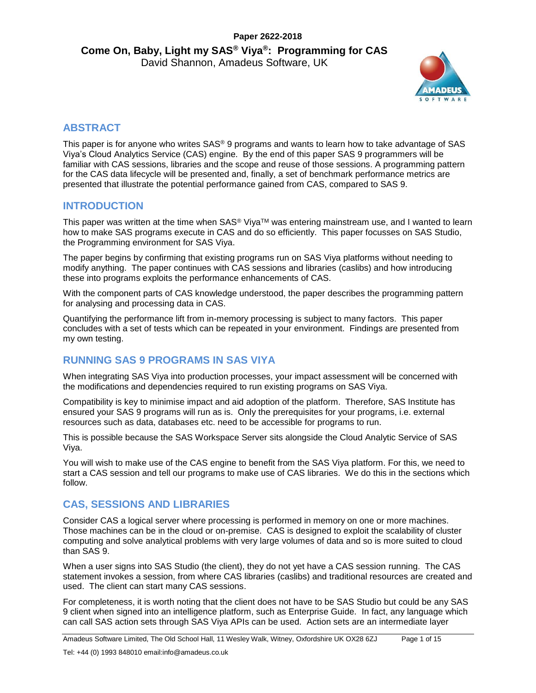

# **ABSTRACT**

This paper is for anyone who writes SAS<sup>®</sup> 9 programs and wants to learn how to take advantage of SAS Viya's Cloud Analytics Service (CAS) engine. By the end of this paper SAS 9 programmers will be familiar with CAS sessions, libraries and the scope and reuse of those sessions. A programming pattern for the CAS data lifecycle will be presented and, finally, a set of benchmark performance metrics are presented that illustrate the potential performance gained from CAS, compared to SAS 9.

## **INTRODUCTION**

This paper was written at the time when SAS® Viya<sup>™</sup> was entering mainstream use, and I wanted to learn how to make SAS programs execute in CAS and do so efficiently. This paper focusses on SAS Studio, the Programming environment for SAS Viya.

The paper begins by confirming that existing programs run on SAS Viya platforms without needing to modify anything. The paper continues with CAS sessions and libraries (caslibs) and how introducing these into programs exploits the performance enhancements of CAS.

With the component parts of CAS knowledge understood, the paper describes the programming pattern for analysing and processing data in CAS.

Quantifying the performance lift from in-memory processing is subject to many factors. This paper concludes with a set of tests which can be repeated in your environment. Findings are presented from my own testing.

## **RUNNING SAS 9 PROGRAMS IN SAS VIYA**

When integrating SAS Viya into production processes, your impact assessment will be concerned with the modifications and dependencies required to run existing programs on SAS Viya.

Compatibility is key to minimise impact and aid adoption of the platform. Therefore, SAS Institute has ensured your SAS 9 programs will run as is. Only the prerequisites for your programs, i.e. external resources such as data, databases etc. need to be accessible for programs to run.

This is possible because the SAS Workspace Server sits alongside the Cloud Analytic Service of SAS Viya.

You will wish to make use of the CAS engine to benefit from the SAS Viya platform. For this, we need to start a CAS session and tell our programs to make use of CAS libraries. We do this in the sections which follow.

## **CAS, SESSIONS AND LIBRARIES**

Consider CAS a logical server where processing is performed in memory on one or more machines. Those machines can be in the cloud or on-premise. CAS is designed to exploit the scalability of cluster computing and solve analytical problems with very large volumes of data and so is more suited to cloud than SAS 9.

When a user signs into SAS Studio (the client), they do not yet have a CAS session running. The CAS statement invokes a session, from where CAS libraries (caslibs) and traditional resources are created and used. The client can start many CAS sessions.

For completeness, it is worth noting that the client does not have to be SAS Studio but could be any SAS 9 client when signed into an intelligence platform, such as Enterprise Guide. In fact, any language which can call SAS action sets through SAS Viya APIs can be used. Action sets are an intermediate layer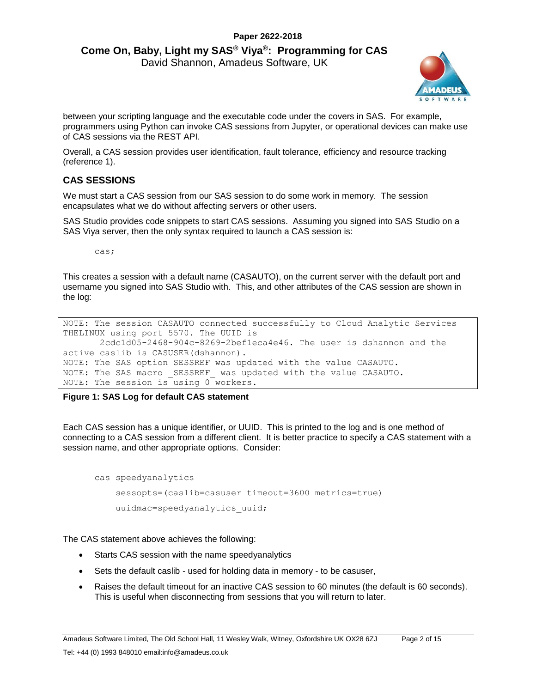# **Paper 2622-2018 Come On, Baby, Light my SAS® Viya®: Programming for CAS**

David Shannon, Amadeus Software, UK



between your scripting language and the executable code under the covers in SAS. For example, programmers using Python can invoke CAS sessions from Jupyter, or operational devices can make use of CAS sessions via the REST API.

Overall, a CAS session provides user identification, fault tolerance, efficiency and resource tracking (reference 1).

#### **CAS SESSIONS**

We must start a CAS session from our SAS session to do some work in memory. The session encapsulates what we do without affecting servers or other users.

SAS Studio provides code snippets to start CAS sessions. Assuming you signed into SAS Studio on a SAS Viya server, then the only syntax required to launch a CAS session is:

cas;

This creates a session with a default name (CASAUTO), on the current server with the default port and username you signed into SAS Studio with. This, and other attributes of the CAS session are shown in the log:

```
NOTE: The session CASAUTO connected successfully to Cloud Analytic Services 
THELINUX using port 5570. The UUID is 
       2cdc1d05-2468-904c-8269-2bef1eca4e46. The user is dshannon and the 
active caslib is CASUSER(dshannon).
NOTE: The SAS option SESSREF was updated with the value CASAUTO.
NOTE: The SAS macro SESSREF was updated with the value CASAUTO.
NOTE: The session is using 0 workers.
```
#### **Figure 1: SAS Log for default CAS statement**

Each CAS session has a unique identifier, or UUID. This is printed to the log and is one method of connecting to a CAS session from a different client. It is better practice to specify a CAS statement with a session name, and other appropriate options. Consider:

```
cas speedyanalytics
     sessopts=(caslib=casuser timeout=3600 metrics=true) 
     uuidmac=speedyanalytics_uuid;
```
The CAS statement above achieves the following:

- Starts CAS session with the name speedyanalytics
- Sets the default caslib used for holding data in memory to be casuser,
- Raises the default timeout for an inactive CAS session to 60 minutes (the default is 60 seconds). This is useful when disconnecting from sessions that you will return to later.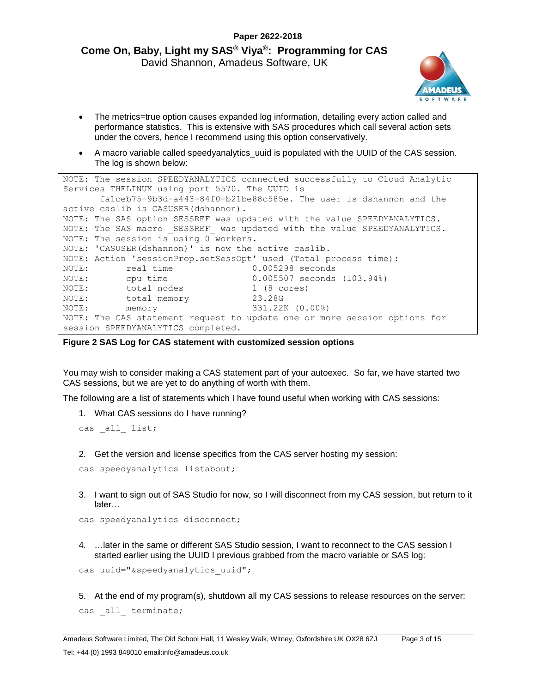

- The metrics=true option causes expanded log information, detailing every action called and performance statistics. This is extensive with SAS procedures which call several action sets under the covers, hence I recommend using this option conservatively.
- A macro variable called speedyanalytics\_uuid is populated with the UUID of the CAS session. The log is shown below:

```
NOTE: The session SPEEDYANALYTICS connected successfully to Cloud Analytic 
Services THELINUX using port 5570. The UUID is 
       fa1ceb75-9b3d-a443-84f0-b21be88c585e. The user is dshannon and the 
active caslib is CASUSER(dshannon).
NOTE: The SAS option SESSREF was updated with the value SPEEDYANALYTICS.
NOTE: The SAS macro  SESSREF was updated with the value SPEEDYANALYTICS.
NOTE: The session is using 0 workers.
NOTE: 'CASUSER(dshannon)' is now the active caslib.
NOTE: Action 'sessionProp.setSessOpt' used (Total process time):
NOTE: real time 0.005298 seconds
NOTE: cpu time 0.005507 seconds (103.94%)
NOTE: total nodes 1 (8 cores)
NOTE: total memory 23.28G
NOTE: The College Contract of the MOTE: memory 331.22K (0.00%)
NOTE: The CAS statement request to update one or more session options for 
session SPEEDYANALYTICS completed.
```
**Figure 2 SAS Log for CAS statement with customized session options**

You may wish to consider making a CAS statement part of your autoexec. So far, we have started two CAS sessions, but we are yet to do anything of worth with them.

The following are a list of statements which I have found useful when working with CAS sessions:

1. What CAS sessions do I have running?

cas \_all\_ list;

2. Get the version and license specifics from the CAS server hosting my session:

```
cas speedyanalytics listabout;
```
3. I want to sign out of SAS Studio for now, so I will disconnect from my CAS session, but return to it later…

```
cas speedyanalytics disconnect;
```
4. …later in the same or different SAS Studio session, I want to reconnect to the CAS session I started earlier using the UUID I previous grabbed from the macro variable or SAS log:

```
cas uuid="&speedyanalytics uuid";
```
5. At the end of my program(s), shutdown all my CAS sessions to release resources on the server: cas \_all\_ terminate;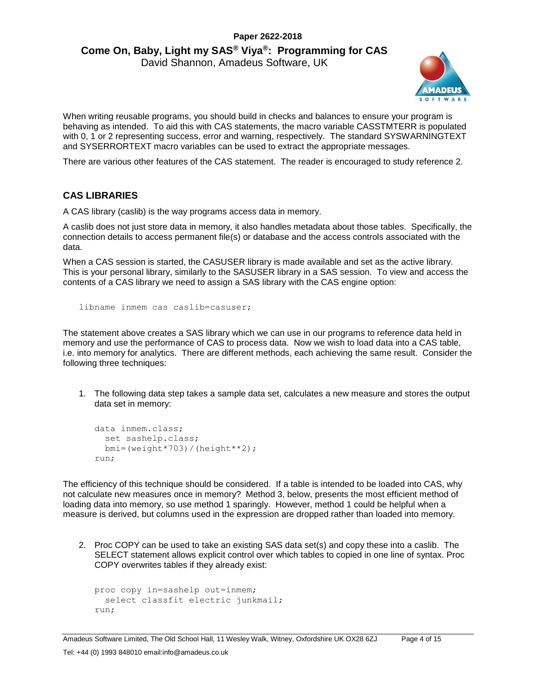

When writing reusable programs, you should build in checks and balances to ensure your program is behaving as intended. To aid this with CAS statements, the macro variable CASSTMTERR is populated with 0, 1 or 2 representing success, error and warning, respectively. The standard SYSWARNINGTEXT and SYSERRORTEXT macro variables can be used to extract the appropriate messages.

There are various other features of the CAS statement. The reader is encouraged to study reference 2.

#### **CAS LIBRARIES**

A CAS library (caslib) is the way programs access data in memory.

A caslib does not just store data in memory, it also handles metadata about those tables. Specifically, the connection details to access permanent file(s) or database and the access controls associated with the data.

When a CAS session is started, the CASUSER library is made available and set as the active library. This is your personal library, similarly to the SASUSER library in a SAS session. To view and access the contents of a CAS library we need to assign a SAS library with the CAS engine option:

libname inmem cas caslib=casuser;

The statement above creates a SAS library which we can use in our programs to reference data held in memory and use the performance of CAS to process data. Now we wish to load data into a CAS table, i.e. into memory for analytics. There are different methods, each achieving the same result. Consider the following three techniques:

1. The following data step takes a sample data set, calculates a new measure and stores the output data set in memory:

```
data inmem.class;
   set sashelp.class;
   bmi=(weight*703)/(height**2);
run;
```
The efficiency of this technique should be considered. If a table is intended to be loaded into CAS, why not calculate new measures once in memory? Method 3, below, presents the most efficient method of loading data into memory, so use method 1 sparingly. However, method 1 could be helpful when a measure is derived, but columns used in the expression are dropped rather than loaded into memory.

2. Proc COPY can be used to take an existing SAS data set(s) and copy these into a caslib. The SELECT statement allows explicit control over which tables to copied in one line of syntax. Proc COPY overwrites tables if they already exist:

```
proc copy in=sashelp out=inmem;
   select classfit electric junkmail;
run;
```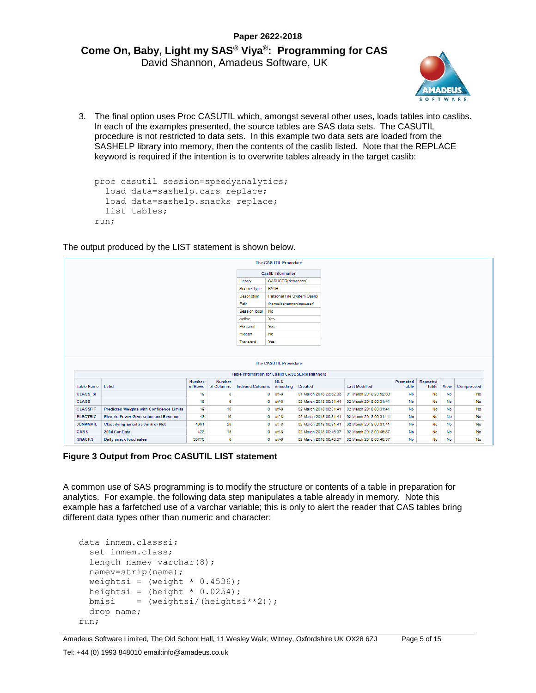

3. The final option uses Proc CASUTIL which, amongst several other uses, loads tables into caslibs. In each of the examples presented, the source tables are SAS data sets. The CASUTIL procedure is not restricted to data sets. In this example two data sets are loaded from the SASHELP library into memory, then the contents of the caslib listed. Note that the REPLACE keyword is required if the intention is to overwrite tables already in the target caslib:

```
proc casutil session=speedyanalytics;
  load data=sashelp.cars replace;
  load data=sashelp.snacks replace;
  list tables;
run;
```
The output produced by the LIST statement is shown below.

|                                                                                            |                                                 |                          |                             |                                                | <b>The CASUTIL Procedure</b> |                        |                        |                          |                   |             |                                                       |
|--------------------------------------------------------------------------------------------|-------------------------------------------------|--------------------------|-----------------------------|------------------------------------------------|------------------------------|------------------------|------------------------|--------------------------|-------------------|-------------|-------------------------------------------------------|
|                                                                                            | <b>Caslib Information</b>                       |                          |                             |                                                |                              |                        |                        |                          |                   |             |                                                       |
|                                                                                            | Library                                         |                          |                             | CASUSER(dshannon)                              |                              |                        |                        |                          |                   |             |                                                       |
|                                                                                            | Source Type                                     |                          | PATH                        |                                                |                              |                        |                        |                          |                   |             |                                                       |
|                                                                                            | Description                                     |                          | Personal File System Caslib |                                                |                              |                        |                        |                          |                   |             |                                                       |
|                                                                                            | Path                                            |                          | /home/dshannon/casuser/     |                                                |                              |                        |                        |                          |                   |             |                                                       |
|                                                                                            | Session local                                   |                          | No                          |                                                |                              |                        |                        |                          |                   |             |                                                       |
|                                                                                            |                                                 |                          |                             | Active                                         | Yes.                         |                        |                        |                          |                   |             |                                                       |
|                                                                                            |                                                 |                          |                             | Personal                                       | Yes                          |                        |                        |                          |                   |             |                                                       |
|                                                                                            |                                                 |                          |                             | Hidden                                         | <b>No</b>                    |                        |                        |                          |                   |             |                                                       |
|                                                                                            |                                                 |                          |                             | Transient                                      | Yes                          |                        |                        |                          |                   |             |                                                       |
|                                                                                            |                                                 |                          |                             |                                                |                              |                        |                        |                          |                   |             |                                                       |
|                                                                                            |                                                 |                          |                             |                                                | <b>The CASUTIL Procedure</b> |                        |                        |                          |                   |             |                                                       |
|                                                                                            |                                                 |                          |                             | Table Information for Caslib CASUSER(dshannon) |                              |                        |                        |                          |                   |             |                                                       |
|                                                                                            | Label                                           | <b>Number</b><br>of Rows | <b>Number</b><br>of Columns | <b>Indexed Columns</b>                         | <b>NLS</b><br>encoding       | Created                | <b>Last Modified</b>   | Promoted<br><b>Table</b> | Repeated<br>Table | <b>View</b> |                                                       |
|                                                                                            |                                                 | 19                       | 8                           |                                                | utf-8<br>۰                   | 01 March 2018 23:52:33 | 01 March 2018 23:52:33 | <b>No</b>                | No                | <b>No</b>   |                                                       |
|                                                                                            |                                                 | 19                       | 6                           |                                                | ۰<br>utf-8                   | 02 March 2018 00:31:41 | 02 March 2018 00:31:41 | <b>No</b>                | No                | No          |                                                       |
|                                                                                            | <b>Predicted Weights with Confidence Limits</b> | 19                       | 10                          |                                                | ۰<br>utf-8                   | 02 March 2018 00:31:41 | 02 March 2018 00:31:41 | <b>No</b>                | No                | <b>No</b>   |                                                       |
| <b>Table Name</b><br><b>CLASS SI</b><br><b>CLASS</b><br><b>CLASSFIT</b><br><b>ELECTRIC</b> | <b>Electric Power Generation and Revenue</b>    | 48                       | 16                          |                                                | ٥<br>utf-8                   | 02 March 2018 00:31:41 | 02 March 2018 00:31:41 | <b>No</b>                | No                | <b>No</b>   |                                                       |
| <b>JUNKMAIL</b>                                                                            | <b>Classifying Email as Junk or Not</b>         | 4601                     | 59                          |                                                | ۰<br>utf-8                   | 02 March 2018 00:31:41 | 02 March 2018 00:31:41 | <b>No</b>                | No                | <b>No</b>   |                                                       |
| <b>CARS</b>                                                                                | 2004 Car Data                                   | 428                      | 15                          |                                                | ۰<br>utf-8                   | 02 March 2018 00:46:37 | 02 March 2018 00:46:37 | <b>No</b>                | No                | <b>No</b>   | Compressed<br>No<br>No<br><b>No</b><br>No<br>No<br>No |

**Figure 3 Output from Proc CASUTIL LIST statement**

A common use of SAS programming is to modify the structure or contents of a table in preparation for analytics. For example, the following data step manipulates a table already in memory. Note this example has a farfetched use of a varchar variable; this is only to alert the reader that CAS tables bring different data types other than numeric and character:

```
data inmem.classsi;
  set inmem.class;
 length namev varchar(8);
  namev=strip(name);
 weightsi = (weight * 0.4536);
 heightsi = (height * 0.0254);
 bmisi = (weight\varepsilon)/(height\varepsilon^*2)); drop name;
run;
```
Amadeus Software Limited, The Old School Hall, 11 Wesley Walk, Witney, Oxfordshire UK OX28 6ZJ Page 5 of 15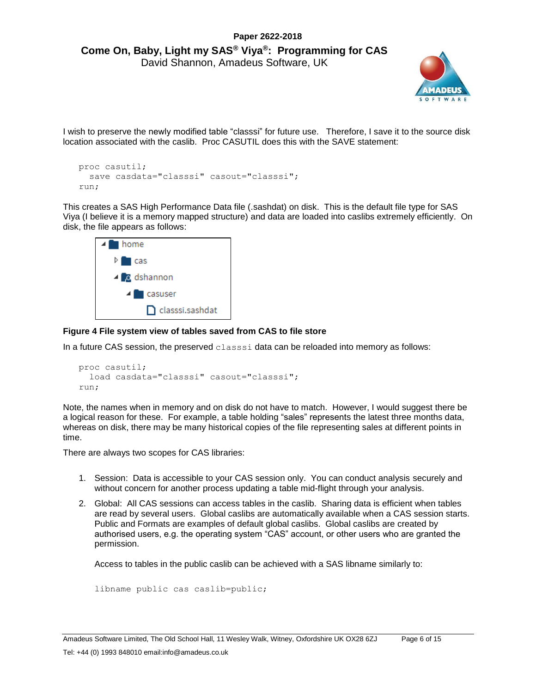

I wish to preserve the newly modified table "classsi" for future use. Therefore, I save it to the source disk location associated with the caslib. Proc CASUTIL does this with the SAVE statement:

```
proc casutil;
  save casdata="classsi" casout="classsi";
run;
```
This creates a SAS High Performance Data file (.sashdat) on disk. This is the default file type for SAS Viya (I believe it is a memory mapped structure) and data are loaded into caslibs extremely efficiently. On disk, the file appears as follows:



#### **Figure 4 File system view of tables saved from CAS to file store**

In a future CAS session, the preserved classsi data can be reloaded into memory as follows:

```
proc casutil;
   load casdata="classsi" casout="classsi";
run;
```
Note, the names when in memory and on disk do not have to match. However, I would suggest there be a logical reason for these. For example, a table holding "sales" represents the latest three months data, whereas on disk, there may be many historical copies of the file representing sales at different points in time.

There are always two scopes for CAS libraries:

- 1. Session: Data is accessible to your CAS session only. You can conduct analysis securely and without concern for another process updating a table mid-flight through your analysis.
- 2. Global: All CAS sessions can access tables in the caslib. Sharing data is efficient when tables are read by several users. Global caslibs are automatically available when a CAS session starts. Public and Formats are examples of default global caslibs. Global caslibs are created by authorised users, e.g. the operating system "CAS" account, or other users who are granted the permission.

Access to tables in the public caslib can be achieved with a SAS libname similarly to:

```
libname public cas caslib=public;
```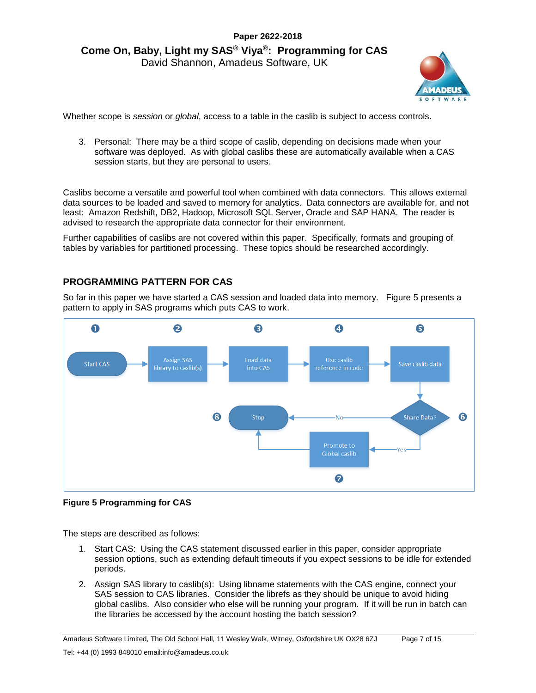

Whether scope is *session* or *global*, access to a table in the caslib is subject to access controls.

3. Personal: There may be a third scope of caslib, depending on decisions made when your software was deployed. As with global caslibs these are automatically available when a CAS session starts, but they are personal to users.

Caslibs become a versatile and powerful tool when combined with data connectors. This allows external data sources to be loaded and saved to memory for analytics. Data connectors are available for, and not least: Amazon Redshift, DB2, Hadoop, Microsoft SQL Server, Oracle and SAP HANA. The reader is advised to research the appropriate data connector for their environment.

Further capabilities of caslibs are not covered within this paper. Specifically, formats and grouping of tables by variables for partitioned processing. These topics should be researched accordingly.

#### **PROGRAMMING PATTERN FOR CAS**

So far in this paper we have started a CAS session and loaded data into memory. [Figure 5](#page-6-0) presents a pattern to apply in SAS programs which puts CAS to work.



#### <span id="page-6-0"></span>**Figure 5 Programming for CAS**

The steps are described as follows:

- 1. Start CAS: Using the CAS statement discussed earlier in this paper, consider appropriate session options, such as extending default timeouts if you expect sessions to be idle for extended periods.
- 2. Assign SAS library to caslib(s): Using libname statements with the CAS engine, connect your SAS session to CAS libraries. Consider the librefs as they should be unique to avoid hiding global caslibs. Also consider who else will be running your program. If it will be run in batch can the libraries be accessed by the account hosting the batch session?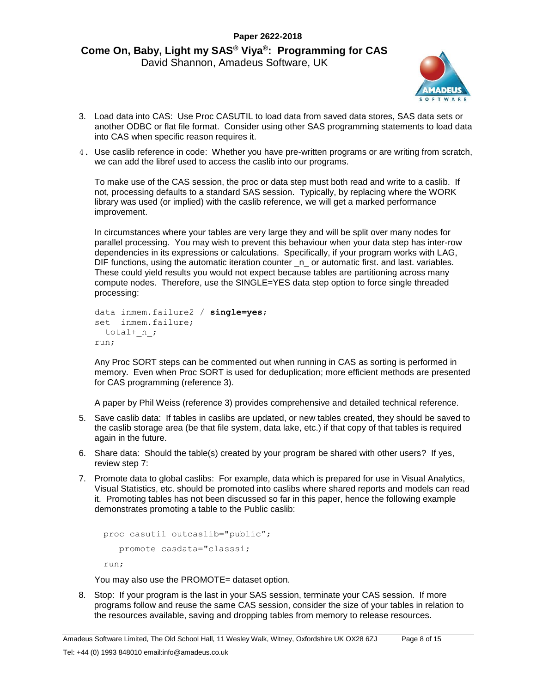

- 3. Load data into CAS: Use Proc CASUTIL to load data from saved data stores, SAS data sets or another ODBC or flat file format. Consider using other SAS programming statements to load data into CAS when specific reason requires it.
- 4. Use caslib reference in code: Whether you have pre-written programs or are writing from scratch, we can add the libref used to access the caslib into our programs.

To make use of the CAS session, the proc or data step must both read and write to a caslib. If not, processing defaults to a standard SAS session. Typically, by replacing where the WORK library was used (or implied) with the caslib reference, we will get a marked performance improvement.

In circumstances where your tables are very large they and will be split over many nodes for parallel processing. You may wish to prevent this behaviour when your data step has inter-row dependencies in its expressions or calculations. Specifically, if your program works with LAG, DIF functions, using the automatic iteration counter  $\Box$  or automatic first. and last. variables. These could yield results you would not expect because tables are partitioning across many compute nodes. Therefore, use the SINGLE=YES data step option to force single threaded processing:

```
data inmem.failure2 / single=yes;
set inmem.failure;
  total+_n_;
run;
```
Any Proc SORT steps can be commented out when running in CAS as sorting is performed in memory. Even when Proc SORT is used for deduplication; more efficient methods are presented for CAS programming (reference 3).

A paper by Phil Weiss (reference 3) provides comprehensive and detailed technical reference.

- 5. Save caslib data: If tables in caslibs are updated, or new tables created, they should be saved to the caslib storage area (be that file system, data lake, etc.) if that copy of that tables is required again in the future.
- 6. Share data: Should the table(s) created by your program be shared with other users? If yes, review step 7:
- 7. Promote data to global caslibs: For example, data which is prepared for use in Visual Analytics, Visual Statistics, etc. should be promoted into caslibs where shared reports and models can read it. Promoting tables has not been discussed so far in this paper, hence the following example demonstrates promoting a table to the Public caslib:

```
proc casutil outcaslib="public";
    promote casdata="classsi;
run;
```
You may also use the PROMOTE= dataset option.

8. Stop: If your program is the last in your SAS session, terminate your CAS session. If more programs follow and reuse the same CAS session, consider the size of your tables in relation to the resources available, saving and dropping tables from memory to release resources.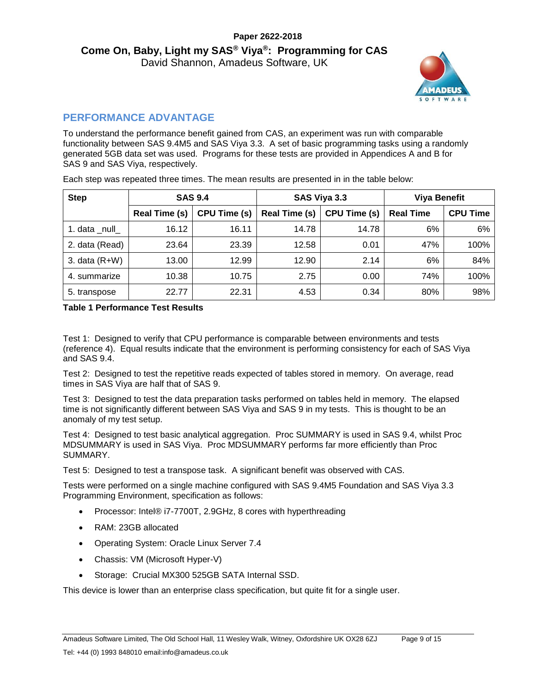

# **PERFORMANCE ADVANTAGE**

To understand the performance benefit gained from CAS, an experiment was run with comparable functionality between SAS 9.4M5 and SAS Viya 3.3. A set of basic programming tasks using a randomly generated 5GB data set was used. Programs for these tests are provided in Appendices A and B for SAS 9 and SAS Viya, respectively.

| <b>Step</b>     |                      | <b>SAS 9.4</b>      |                      | SAS Viya 3.3 | <b>Viya Benefit</b> |                 |  |
|-----------------|----------------------|---------------------|----------------------|--------------|---------------------|-----------------|--|
|                 | <b>Real Time (s)</b> | <b>CPU Time (s)</b> | <b>Real Time (s)</b> | CPU Time (s) | <b>Real Time</b>    | <b>CPU Time</b> |  |
| 1. data null    | 16.12                | 16.11               | 14.78                | 14.78        | 6%                  | 6%              |  |
| 2. data (Read)  | 23.64                | 23.39               | 12.58                | 0.01         | 47%                 | 100%            |  |
| 3. data $(R+W)$ | 13.00                | 12.99               | 12.90                | 2.14         | 6%                  | 84%             |  |
| 4. summarize    | 10.38                | 10.75               | 2.75                 | 0.00         | 74%                 | 100%            |  |
| 5. transpose    | 22.77                | 22.31               | 4.53                 | 0.34         | 80%                 | 98%             |  |

Each step was repeated three times. The mean results are presented in in the table below:

**Table 1 Performance Test Results**

Test 1: Designed to verify that CPU performance is comparable between environments and tests (reference 4). Equal results indicate that the environment is performing consistency for each of SAS Viya and SAS 9.4.

Test 2: Designed to test the repetitive reads expected of tables stored in memory. On average, read times in SAS Viya are half that of SAS 9.

Test 3: Designed to test the data preparation tasks performed on tables held in memory. The elapsed time is not significantly different between SAS Viya and SAS 9 in my tests. This is thought to be an anomaly of my test setup.

Test 4: Designed to test basic analytical aggregation. Proc SUMMARY is used in SAS 9.4, whilst Proc MDSUMMARY is used in SAS Viya. Proc MDSUMMARY performs far more efficiently than Proc SUMMARY.

Test 5: Designed to test a transpose task. A significant benefit was observed with CAS.

Tests were performed on a single machine configured with SAS 9.4M5 Foundation and SAS Viya 3.3 Programming Environment, specification as follows:

- Processor: Intel® i7-7700T, 2.9GHz, 8 cores with hyperthreading
- RAM: 23GB allocated
- Operating System: Oracle Linux Server 7.4
- Chassis: VM (Microsoft Hyper-V)
- Storage: Crucial MX300 525GB SATA Internal SSD.

This device is lower than an enterprise class specification, but quite fit for a single user.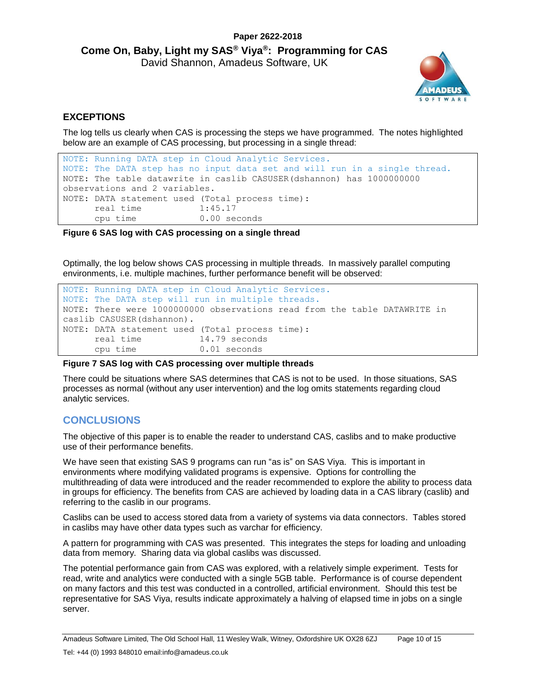

#### **EXCEPTIONS**

The log tells us clearly when CAS is processing the steps we have programmed. The notes highlighted below are an example of CAS processing, but processing in a single thread:

```
NOTE: Running DATA step in Cloud Analytic Services.
NOTE: The DATA step has no input data set and will run in a single thread.
NOTE: The table datawrite in caslib CASUSER(dshannon) has 1000000000 
observations and 2 variables.
NOTE: DATA statement used (Total process time):
     real time 1:45.17
      cpu time 0.00 seconds
```
**Figure 6 SAS log with CAS processing on a single thread**

Optimally, the log below shows CAS processing in multiple threads. In massively parallel computing environments, i.e. multiple machines, further performance benefit will be observed:

```
NOTE: Running DATA step in Cloud Analytic Services.
NOTE: The DATA step will run in multiple threads.
NOTE: There were 1000000000 observations read from the table DATAWRITE in 
caslib CASUSER(dshannon).
NOTE: DATA statement used (Total process time):
      real time 14.79 seconds
      cpu time 0.01 seconds
```
#### **Figure 7 SAS log with CAS processing over multiple threads**

There could be situations where SAS determines that CAS is not to be used. In those situations, SAS processes as normal (without any user intervention) and the log omits statements regarding cloud analytic services.

#### **CONCLUSIONS**

The objective of this paper is to enable the reader to understand CAS, caslibs and to make productive use of their performance benefits.

We have seen that existing SAS 9 programs can run "as is" on SAS Viya. This is important in environments where modifying validated programs is expensive. Options for controlling the multithreading of data were introduced and the reader recommended to explore the ability to process data in groups for efficiency. The benefits from CAS are achieved by loading data in a CAS library (caslib) and referring to the caslib in our programs.

Caslibs can be used to access stored data from a variety of systems via data connectors. Tables stored in caslibs may have other data types such as varchar for efficiency.

A pattern for programming with CAS was presented. This integrates the steps for loading and unloading data from memory. Sharing data via global caslibs was discussed.

The potential performance gain from CAS was explored, with a relatively simple experiment. Tests for read, write and analytics were conducted with a single 5GB table. Performance is of course dependent on many factors and this test was conducted in a controlled, artificial environment. Should this test be representative for SAS Viya, results indicate approximately a halving of elapsed time in jobs on a single server.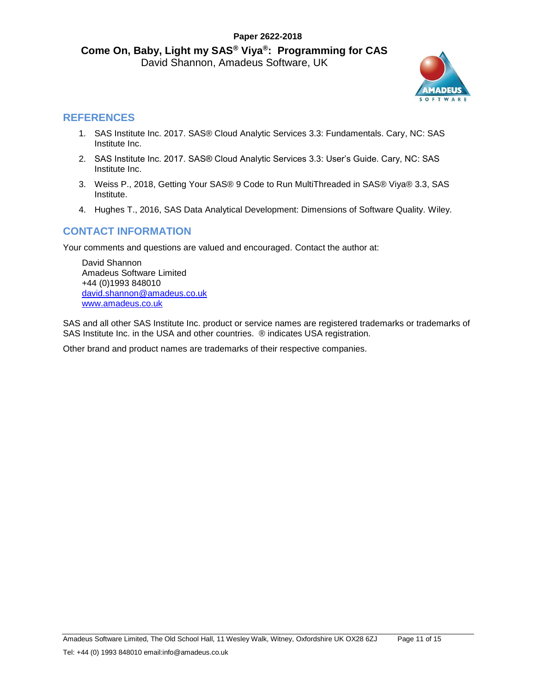

## **REFERENCES**

- 1. SAS Institute Inc. 2017. SAS® Cloud Analytic Services 3.3: Fundamentals. Cary, NC: SAS Institute Inc.
- 2. SAS Institute Inc. 2017. SAS® Cloud Analytic Services 3.3: User's Guide. Cary, NC: SAS Institute Inc.
- 3. Weiss P., 2018, Getting Your SAS® 9 Code to Run MultiThreaded in SAS® Viya® 3.3, SAS Institute.
- 4. Hughes T., 2016, SAS Data Analytical Development: Dimensions of Software Quality. Wiley.

# **CONTACT INFORMATION**

Your comments and questions are valued and encouraged. Contact the author at:

David Shannon Amadeus Software Limited +44 (0)1993 848010 [david.shannon@amadeus.co.uk](file://///amadeus.local/data/Consultancy/Publications/Papers/Come%20on%20Baby%20Light%20my%20SAS%20Viya%20-%20Programming%20for%20CAS/david.shannon@amadeus.co.uk) [www.amadeus.co.uk](http://www.amadeus.co.uk/)

SAS and all other SAS Institute Inc. product or service names are registered trademarks or trademarks of SAS Institute Inc. in the USA and other countries. ® indicates USA registration.

Other brand and product names are trademarks of their respective companies.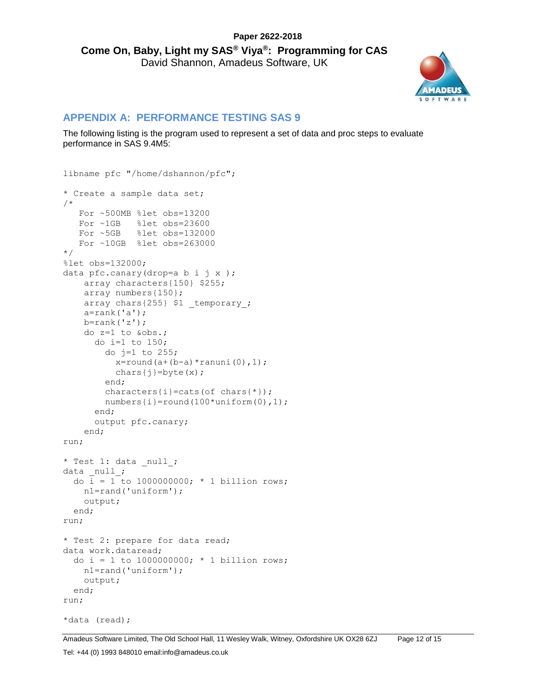

#### **APPENDIX A: PERFORMANCE TESTING SAS 9**

The following listing is the program used to represent a set of data and proc steps to evaluate performance in SAS 9.4M5:

```
libname pfc "/home/dshannon/pfc";
* Create a sample data set;
/*
   For ~500MB %let obs=13200
   For ~1GB %let obs=23600
   For ~5GB %let obs=132000
   For ~10GB %let obs=263000
*/
%let obs=132000;
data pfc.canary(drop=a b i j x );
     array characters{150} $255;
    array numbers{150};
    array chars{255} $1 temporary ;
     a=rank('a');
     b=rank('z');
     do z=1 to &obs.;
       do i=1 to 150;
        do j=1 to 255;
          x=round(a+(b-a)*ranuni(0),1);
          chars\{\dagger\}=byte(x);
         end;
         characters{i}=cats(of chars{*});
         numbers{i}=round(100*uniform(0),1);
       end;
       output pfc.canary;
     end;
run;
* Test 1: data null ;
data null;
  do \overline{i} = 1 to 1000000000; * 1 billion rows;
    n1=rand('uniform');
     output;
   end;
run;
* Test 2: prepare for data read;
data work.dataread;
  do i = 1 to 1000000000; * 1 billion rows;
    n1=rand('uniform');
     output;
   end;
run;
*data (read);
```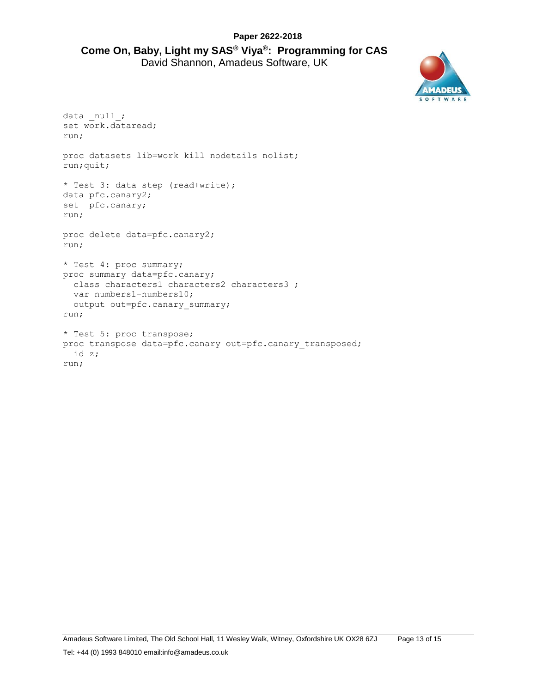

```
data null;
set work.dataread;
run;
proc datasets lib=work kill nodetails nolist;
run;quit;
* Test 3: data step (read+write);
data pfc.canary2;
set pfc.canary;
run;
proc delete data=pfc.canary2;
run;
* Test 4: proc summary;
proc summary data=pfc.canary;
  class characters1 characters2 characters3 ;
  var numbers1-numbers10;
  output out=pfc.canary_summary;
run;
* Test 5: proc transpose;
proc transpose data=pfc.canary out=pfc.canary transposed;
  id z;
run;
```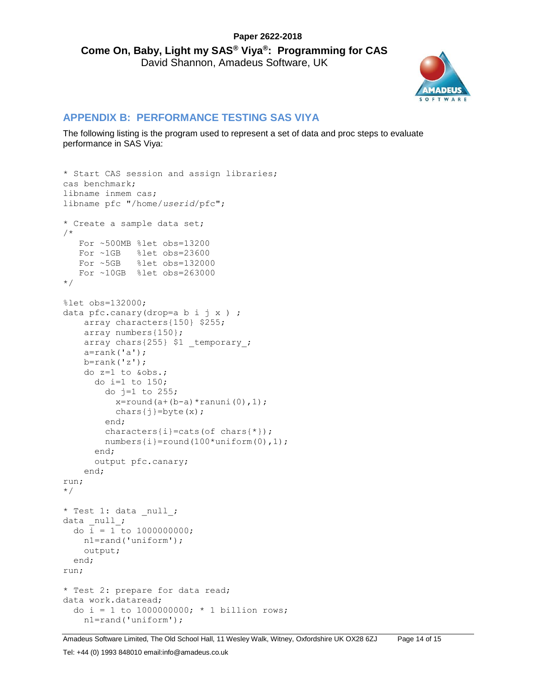

## **APPENDIX B: PERFORMANCE TESTING SAS VIYA**

The following listing is the program used to represent a set of data and proc steps to evaluate performance in SAS Viya:

```
* Start CAS session and assign libraries;
cas benchmark;
libname inmem cas;
libname pfc "/home/userid/pfc";
* Create a sample data set;
/*
   For ~500MB %let obs=13200 
   For ~1GB %let obs=23600 
   For ~5GB %let obs=132000 
   For ~10GB %let obs=263000 
*/
%let obs=132000;
data pfc.canary(drop=a b i j x ) ;
     array characters{150} $255;
     array numbers{150};
   array chars{255} $1 temporary ;
     a=rank('a');
   b=rank('z');
     do z=1 to &obs.;
      do i=1 to 150;
        do j=1 to 255;
          x=round(a+(b-a)*ranuni(0),1);
          chars\{j\}=byte(x);
         end;
        characters\{i\}=cats(of chars\{\star\});
         numbers{i}=round(100*uniform(0),1);
       end;
       output pfc.canary;
     end;
run;
*/
* Test 1: data null ;
data null ;
 do i = 1 to 1000000000;
    n1=rand('uniform');
    output;
   end;
run;
* Test 2: prepare for data read;
data work.dataread;
 do i = 1 to 1000000000; * 1 billion rows;
    n1=rand('uniform');
```